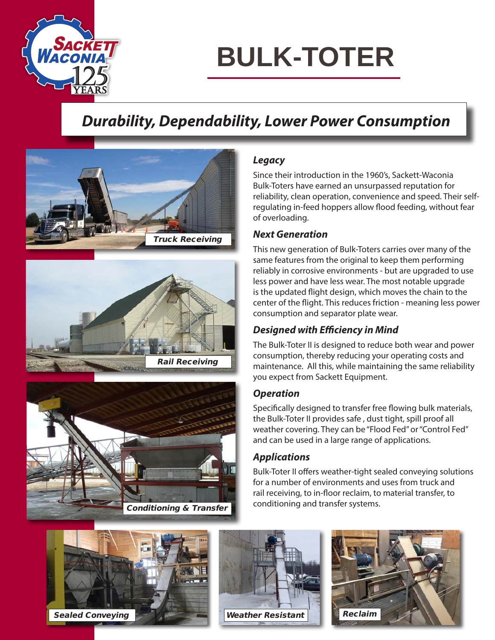

## **BULK-TOTER**

### *Durability, Dependability, Lower Power Consumption*







### *Legacy*

Since their introduction in the 1960's, Sackett-Waconia Bulk-Toters have earned an unsurpassed reputation for reliability, clean operation, convenience and speed. Their selfregulating in-feed hoppers allow flood feeding, without fear of overloading.

### *Next Generation*

This new generation of Bulk-Toters carries over many of the same features from the original to keep them performing reliably in corrosive environments - but are upgraded to use less power and have less wear. The most notable upgrade is the updated flight design, which moves the chain to the center of the flight. This reduces friction - meaning less power consumption and separator plate wear.

### *Designed with Efficiency in Mind*

The Bulk-Toter II is designed to reduce both wear and power consumption, thereby reducing your operating costs and maintenance. All this, while maintaining the same reliability you expect from Sackett Equipment.

### *Operation*

Specifically designed to transfer free flowing bulk materials, the Bulk-Toter II provides safe , dust tight, spill proof all weather covering. They can be "Flood Fed" or "Control Fed" and can be used in a large range of applications.

### *Applications*

Bulk-Toter II offers weather-tight sealed conveying solutions for a number of environments and uses from truck and rail receiving, to in-floor reclaim, to material transfer, to conditioning and transfer systems.